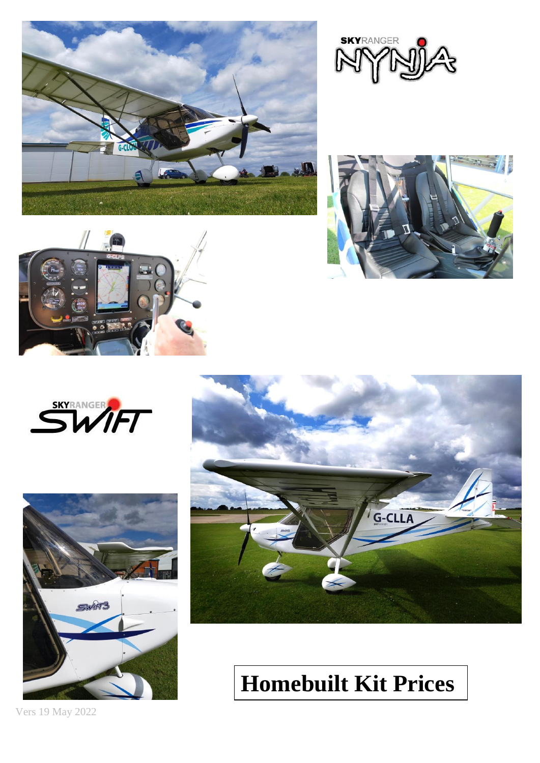













# **Homebuilt Kit Prices**

Vers 19 May 2022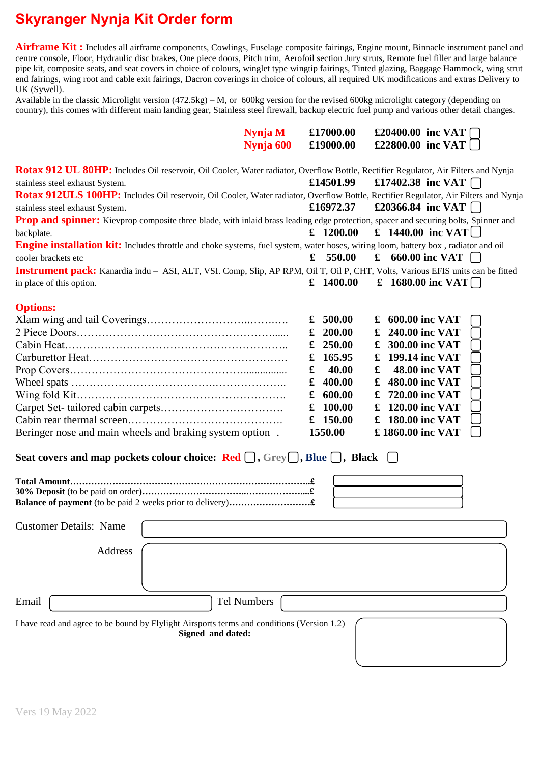## **Skyranger Nynja Kit Order form**

Airframe Kit: Includes all airframe components, Cowlings, Fuselage composite fairings, Engine mount, Binnacle instrument panel and centre console, Floor, Hydraulic disc brakes, One piece doors, Pitch trim, Aerofoil section Jury struts, Remote fuel filler and large balance pipe kit, composite seats, and seat covers in choice of colours, winglet type wingtip fairings, Tinted glazing, Baggage Hammock, wing strut end fairings, wing root and cable exit fairings, Dacron coverings in choice of colours, all required UK modifications and extras Delivery to UK (Sywell).

Available in the classic Microlight version (472.5kg) – M, or 600kg version for the revised 600kg microlight category (depending on country), this comes with different main landing gear, Stainless steel firewall, backup electric fuel pump and various other detail changes.

|                                                                                                                                                                        | Nynja M<br>Nynja 600 | £17000.00<br>£19000.00 |                                           | £20400.00 inc VAT<br>£22800.00 inc VAT                    |  |
|------------------------------------------------------------------------------------------------------------------------------------------------------------------------|----------------------|------------------------|-------------------------------------------|-----------------------------------------------------------|--|
| Rotax 912 UL 80HP: Includes Oil reservoir, Oil Cooler, Water radiator, Overflow Bottle, Rectifier Regulator, Air Filters and Nynja<br>stainless steel exhaust System.  |                      | £14501.99              |                                           | £17402.38 inc VAT $\Box$                                  |  |
| Rotax 912ULS 100HP: Includes Oil reservoir, Oil Cooler, Water radiator, Overflow Bottle, Rectifier Regulator, Air Filters and Nynja<br>stainless steel exhaust System. |                      | £16972.37              |                                           | £20366.84 inc VAT                                         |  |
| Prop and spinner: Kievprop composite three blade, with inlaid brass leading edge protection, spacer and securing bolts, Spinner and<br>backplate.                      |                      |                        | £ $1200.00$                               | $\pounds$ 1440.00 inc VAT                                 |  |
| Engine installation kit: Includes throttle and choke systems, fuel system, water hoses, wiring loom, battery box, radiator and oil<br>cooler brackets etc              |                      | £                      | 550.00                                    | £ 660.00 inc VAT $\vert$                                  |  |
| Instrument pack: Kanardia indu - ASI, ALT, VSI. Comp, Slip, AP RPM, Oil T, Oil P, CHT, Volts, Various EFIS units can be fitted<br>in place of this option.             |                      |                        | £ $1400.00$                               | £ 1680.00 inc VAT                                         |  |
| <b>Options:</b>                                                                                                                                                        |                      |                        |                                           |                                                           |  |
|                                                                                                                                                                        |                      | £                      | 500.00<br>£<br>200.00<br>£<br>250.00<br>£ | <b>600.00 inc VAT</b><br>240.00 inc VAT<br>300.00 inc VAT |  |
|                                                                                                                                                                        |                      |                        | 165.95<br>£                               | 199.14 inc VAT                                            |  |
|                                                                                                                                                                        |                      | £                      | 40.00<br>£<br>400.00                      | <b>48.00 inc VAT</b><br>480.00 inc VAT                    |  |
|                                                                                                                                                                        |                      | £                      | 600.00<br>£                               | 720.00 inc VAT                                            |  |
|                                                                                                                                                                        |                      | £                      | <b>100.00</b><br>£                        | 120.00 inc VAT                                            |  |
|                                                                                                                                                                        |                      | £ $150.00$             | £                                         | <b>180.00 inc VAT</b>                                     |  |
| Beringer nose and main wheels and braking system option.                                                                                                               |                      | 1550.00                |                                           | £1860.00 inc VAT                                          |  |
| Seat covers and map pockets colour choice: Red $\Box$ , Grey $\Box$ , Blue $\Box$ , Black $\Box$                                                                       |                      |                        |                                           |                                                           |  |
|                                                                                                                                                                        |                      |                        |                                           |                                                           |  |
| <b>Customer Details: Name</b>                                                                                                                                          |                      |                        |                                           |                                                           |  |
| Address                                                                                                                                                                |                      |                        |                                           |                                                           |  |
|                                                                                                                                                                        |                      |                        |                                           |                                                           |  |
| Email                                                                                                                                                                  | Tel Numbers          |                        |                                           |                                                           |  |
| I have read and agree to be bound by Flylight Airsports terms and conditions (Version 1.2)                                                                             | Signed and dated:    |                        |                                           |                                                           |  |
|                                                                                                                                                                        |                      |                        |                                           |                                                           |  |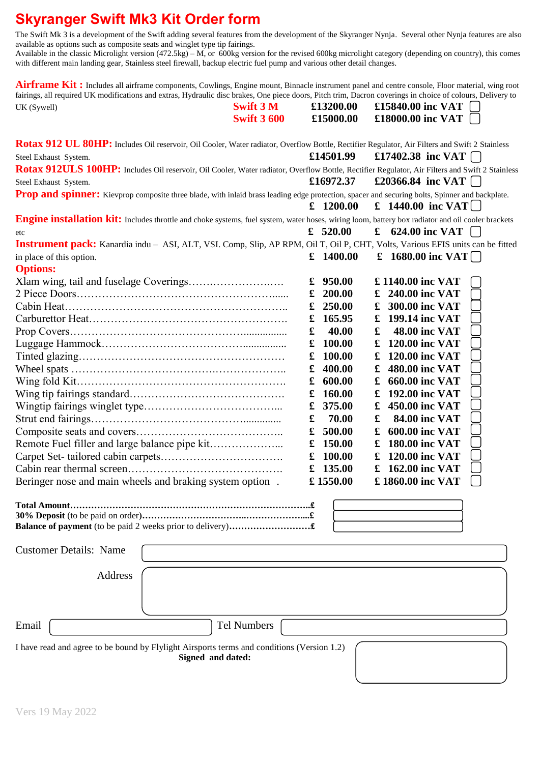### **Skyranger Swift Mk3 Kit Order form**

The Swift Mk 3 is a development of the Swift adding several features from the development of the Skyranger Nynja. Several other Nynja features are also available as options such as composite seats and winglet type tip fairings. Available in the classic Microlight version (472.5kg) – M, or 600kg version for the revised 600kg microlight category (depending on country), this comes

with different main landing gear, Stainless steel firewall, backup electric fuel pump and various other detail changes.

Airframe Kit: Includes all airframe components, Cowlings, Engine mount, Binnacle instrument panel and centre console, Floor material, wing root fairings, all required UK modifications and extras, Hydraulic disc brakes, One piece doors, Pitch trim, Dacron coverings in choice of colours, Delivery to UK (Sywell) **Swift 3 M £13200.00 £15840.00 inc VAT**<br>**Swift 3 600 £15000 00 £18000 00 inc VAT** 

 **Swift 3 600 £15000.00 £18000.00 inc VAT**

٦

| Rotax 912 UL 80HP: Includes Oil reservoir, Oil Cooler, Water radiator, Overflow Bottle, Rectifier Regulator, Air Filters and Swift 2 Stainless           |             |             |   |                             |
|----------------------------------------------------------------------------------------------------------------------------------------------------------|-------------|-------------|---|-----------------------------|
| Steel Exhaust System.                                                                                                                                    |             | £14501.99   |   | £17402.38 inc VAT $\bigcap$ |
| Rotax 912ULS 100HP: Includes Oil reservoir, Oil Cooler, Water radiator, Overflow Bottle, Rectifier Regulator, Air Filters and Swift 2 Stainless          |             |             |   |                             |
| Steel Exhaust System.                                                                                                                                    |             | £16972.37   |   | £20366.84 inc VAT           |
| Prop and spinner: Kievprop composite three blade, with inlaid brass leading edge protection, spacer and securing bolts, Spinner and backplate.           |             |             |   |                             |
|                                                                                                                                                          |             | £ 1200.00   |   | $\pounds$ 1440.00 inc VAT   |
| <b>Engine installation kit:</b> Includes throttle and choke systems, fuel system, water hoses, wiring loom, battery box radiator and oil cooler brackets |             |             |   |                             |
| etc                                                                                                                                                      |             | £ $520.00$  |   | £ 624.00 inc VAT            |
| Instrument pack: Kanardia indu - ASI, ALT, VSI. Comp, Slip, AP RPM, Oil T, Oil P, CHT, Volts, Various EFIS units can be fitted                           |             |             |   |                             |
| in place of this option.                                                                                                                                 |             | $£$ 1400.00 |   | £ 1680.00 inc VAT $[$ ]     |
| <b>Options:</b>                                                                                                                                          |             |             |   |                             |
|                                                                                                                                                          | £           | 950.00      |   | £1140.00 inc VAT            |
|                                                                                                                                                          | $\mathbf f$ | 200.00      |   | 240.00 inc VAT              |
|                                                                                                                                                          |             | 250.00      |   | 300.00 inc VAT              |
|                                                                                                                                                          | £           | 165.95      | £ | 199.14 inc VAT              |
|                                                                                                                                                          | £           | 40.00       | £ | <b>48.00 inc VAT</b>        |
|                                                                                                                                                          |             | 100.00      |   | <b>120.00 inc VAT</b>       |
|                                                                                                                                                          | £           | 100.00      |   | 120.00 inc VAT              |
|                                                                                                                                                          | $\mathbf f$ | 400.00      | £ | 480.00 inc VAT              |
|                                                                                                                                                          |             | 600.00      |   | <b>660.00 inc VAT</b>       |
|                                                                                                                                                          |             | 160.00      |   | 192.00 inc VAT              |
|                                                                                                                                                          | £           | 375.00      | £ | 450.00 inc VAT              |
|                                                                                                                                                          | £           | 70.00       | £ | <b>84.00 inc VAT</b>        |
|                                                                                                                                                          | £           | 500.00      |   | <b>600.00 inc VAT</b>       |
| Remote Fuel filler and large balance pipe kit                                                                                                            | £           | 150.00      | £ | <b>180.00 inc VAT</b>       |
|                                                                                                                                                          | £           | 100.00      |   | <b>120.00 inc VAT</b>       |
|                                                                                                                                                          |             | £ $135.00$  |   | <b>162.00 inc VAT</b>       |
| Beringer nose and main wheels and braking system option.                                                                                                 |             | £1550.00    |   | £1860.00 inc VAT            |
| <b>Total Amount</b>                                                                                                                                      |             |             |   |                             |
| $\mathbf{D}_{\mathbf{Q}}$                                                                                                                                |             |             |   |                             |
|                                                                                                                                                          |             |             |   |                             |

**Balance of payment** (to be paid 2 weeks prior to delivery)**………………………£**

Customer Details: Name

|       | Address |                                                                                            |  |
|-------|---------|--------------------------------------------------------------------------------------------|--|
|       |         |                                                                                            |  |
| Email |         | Tel Numbers                                                                                |  |
|       |         | I have read and agree to be bound by Flylight Airsports terms and conditions (Version 1.2) |  |

**Signed and dated:**